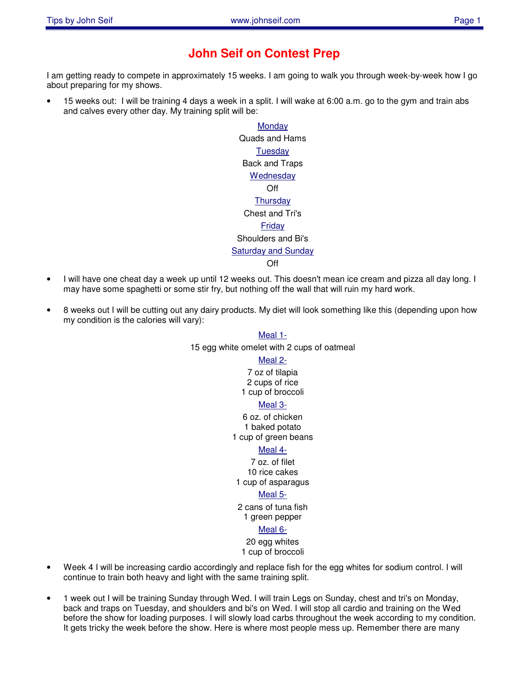# **John Seif on Contest Prep**

I am getting ready to compete in approximately 15 weeks. I am going to walk you through week-by-week how I go about preparing for my shows.

• 15 weeks out: I will be training 4 days a week in a split. I will wake at 6:00 a.m. go to the gym and train abs and calves every other day. My training split will be:

> **Monday** Quads and Hams **Tuesday** Back and Traps **Wednesday** Off **Thursday** Chest and Tri's **Friday** Shoulders and Bi's **Saturday and Sunday** Off

- I will have one cheat day a week up until 12 weeks out. This doesn't mean ice cream and pizza all day long. I may have some spaghetti or some stir fry, but nothing off the wall that will ruin my hard work.
- 8 weeks out I will be cutting out any dairy products. My diet will look something like this (depending upon how my condition is the calories will vary):

### Meal 1-

15 egg white omelet with 2 cups of oatmeal

Meal 2-

7 oz of tilapia 2 cups of rice 1 cup of broccoli

#### Meal 3-

6 oz. of chicken 1 baked potato 1 cup of green beans

#### Meal 4-

7 oz. of filet 10 rice cakes 1 cup of asparagus

#### Meal 5-

2 cans of tuna fish

## 1 green pepper

#### Meal 6-

20 egg whites 1 cup of broccoli

- Week 4 I will be increasing cardio accordingly and replace fish for the egg whites for sodium control. I will continue to train both heavy and light with the same training split.
- 1 week out I will be training Sunday through Wed. I will train Legs on Sunday, chest and tri's on Monday, back and traps on Tuesday, and shoulders and bi's on Wed. I will stop all cardio and training on the Wed before the show for loading purposes. I will slowly load carbs throughout the week according to my condition. It gets tricky the week before the show. Here is where most people mess up. Remember there are many